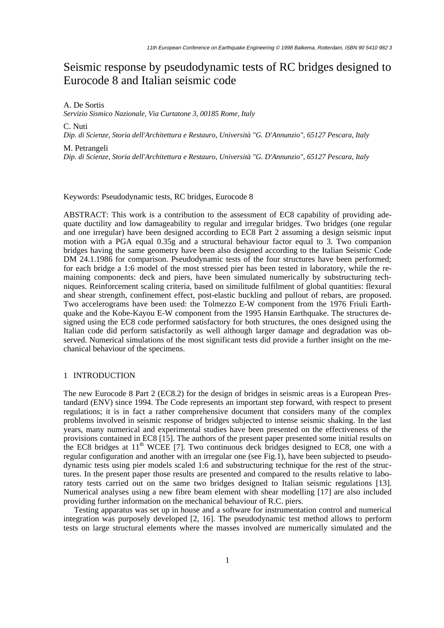# Seismic response by pseudodynamic tests of RC bridges designed to Eurocode 8 and Italian seismic code

A. De Sortis

*Servizio Sismico Nazionale, Via Curtatone 3, 00185 Rome, Italy*

C. Nuti

*Dip. di Scienze, Storia dell'Architettura e Restauro, Università "G. D'Annunzio", 65127 Pescara, Italy*

M. Petrangeli

*Dip. di Scienze, Storia dell'Architettura e Restauro, Università "G. D'Annunzio", 65127 Pescara, Italy*

Keywords: Pseudodynamic tests, RC bridges, Eurocode 8

ABSTRACT: This work is a contribution to the assessment of EC8 capability of providing adequate ductility and low damageability to regular and irregular bridges. Two bridges (one regular and one irregular) have been designed according to EC8 Part 2 assuming a design seismic input motion with a PGA equal 0.35g and a structural behaviour factor equal to 3. Two companion bridges having the same geometry have been also designed according to the Italian Seismic Code DM 24.1.1986 for comparison. Pseudodynamic tests of the four structures have been performed; for each bridge a 1:6 model of the most stressed pier has been tested in laboratory, while the remaining components: deck and piers, have been simulated numerically by substructuring techniques. Reinforcement scaling criteria, based on similitude fulfilment of global quantities: flexural and shear strength, confinement effect, post-elastic buckling and pullout of rebars, are proposed. Two accelerograms have been used: the Tolmezzo E-W component from the 1976 Friuli Earthquake and the Kobe-Kayou E-W component from the 1995 Hansin Earthquake. The structures designed using the EC8 code performed satisfactory for both structures, the ones designed using the Italian code did perform satisfactorily as well although larger damage and degradation was observed. Numerical simulations of the most significant tests did provide a further insight on the mechanical behaviour of the specimens.

#### 1 INTRODUCTION

The new Eurocode 8 Part 2 (EC8.2) for the design of bridges in seismic areas is a European Prestandard (ENV) since 1994. The Code represents an important step forward, with respect to present regulations; it is in fact a rather comprehensive document that considers many of the complex problems involved in seismic response of bridges subjected to intense seismic shaking. In the last years, many numerical and experimental studies have been presented on the effectiveness of the provisions contained in EC8 [15]. The authors of the present paper presented some initial results on the EC8 bridges at  $11<sup>th</sup>$  WCEE [7]. Two continuous deck bridges designed to EC8, one with a regular configuration and another with an irregular one (see Fig.1), have been subjected to pseudodynamic tests using pier models scaled 1:6 and substructuring technique for the rest of the structures. In the present paper those results are presented and compared to the results relative to laboratory tests carried out on the same two bridges designed to Italian seismic regulations [13]. Numerical analyses using a new fibre beam element with shear modelling [17] are also included providing further information on the mechanical behaviour of R.C. piers.

Testing apparatus was set up in house and a software for instrumentation control and numerical integration was purposely developed [2, 16]. The pseudodynamic test method allows to perform tests on large structural elements where the masses involved are numerically simulated and the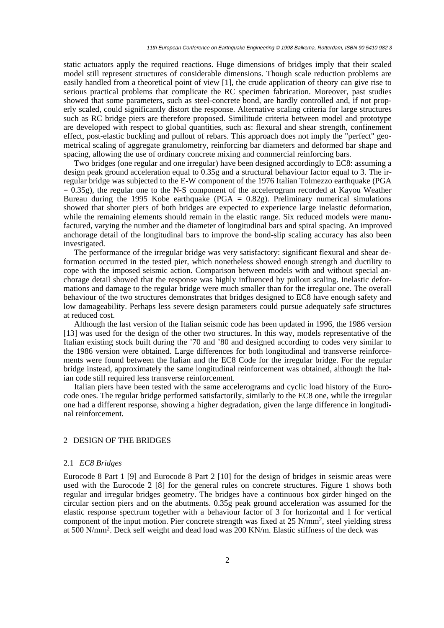static actuators apply the required reactions. Huge dimensions of bridges imply that their scaled model still represent structures of considerable dimensions. Though scale reduction problems are easily handled from a theoretical point of view [1], the crude application of theory can give rise to serious practical problems that complicate the RC specimen fabrication. Moreover, past studies showed that some parameters, such as steel-concrete bond, are hardly controlled and, if not properly scaled, could significantly distort the response. Alternative scaling criteria for large structures such as RC bridge piers are therefore proposed. Similitude criteria between model and prototype are developed with respect to global quantities, such as: flexural and shear strength, confinement effect, post-elastic buckling and pullout of rebars. This approach does not imply the "perfect" geometrical scaling of aggregate granulometry, reinforcing bar diameters and deformed bar shape and spacing, allowing the use of ordinary concrete mixing and commercial reinforcing bars.

Two bridges (one regular and one irregular) have been designed accordingly to EC8: assuming a design peak ground acceleration equal to 0.35g and a structural behaviour factor equal to 3. The irregular bridge was subjected to the E-W component of the 1976 Italian Tolmezzo earthquake (PGA  $= 0.35$ g), the regular one to the N-S component of the accelerogram recorded at Kayou Weather Bureau during the 1995 Kobe earthquake (PGA =  $0.82g$ ). Preliminary numerical simulations showed that shorter piers of both bridges are expected to experience large inelastic deformation, while the remaining elements should remain in the elastic range. Six reduced models were manufactured, varying the number and the diameter of longitudinal bars and spiral spacing. An improved anchorage detail of the longitudinal bars to improve the bond-slip scaling accuracy has also been investigated.

The performance of the irregular bridge was very satisfactory: significant flexural and shear deformation occurred in the tested pier, which nonetheless showed enough strength and ductility to cope with the imposed seismic action. Comparison between models with and without special anchorage detail showed that the response was highly influenced by pullout scaling. Inelastic deformations and damage to the regular bridge were much smaller than for the irregular one. The overall behaviour of the two structures demonstrates that bridges designed to EC8 have enough safety and low damageability. Perhaps less severe design parameters could pursue adequately safe structures at reduced cost.

Although the last version of the Italian seismic code has been updated in 1996, the 1986 version [13] was used for the design of the other two structures. In this way, models representative of the Italian existing stock built during the '70 and '80 and designed according to codes very similar to the 1986 version were obtained. Large differences for both longitudinal and transverse reinforcements were found between the Italian and the EC8 Code for the irregular bridge. For the regular bridge instead, approximately the same longitudinal reinforcement was obtained, although the Italian code still required less transverse reinforcement.

Italian piers have been tested with the same accelerograms and cyclic load history of the Eurocode ones. The regular bridge performed satisfactorily, similarly to the EC8 one, while the irregular one had a different response, showing a higher degradation, given the large difference in longitudinal reinforcement.

#### 2 DESIGN OF THE BRIDGES

# 2.1 *EC8 Bridges*

Eurocode 8 Part 1 [9] and Eurocode 8 Part 2 [10] for the design of bridges in seismic areas were used with the Eurocode 2 [8] for the general rules on concrete structures. Figure 1 shows both regular and irregular bridges geometry. The bridges have a continuous box girder hinged on the circular section piers and on the abutments. 0.35g peak ground acceleration was assumed for the elastic response spectrum together with a behaviour factor of 3 for horizontal and 1 for vertical component of the input motion. Pier concrete strength was fixed at 25 N/mm2, steel yielding stress at 500 N/mm2. Deck self weight and dead load was 200 KN/m. Elastic stiffness of the deck was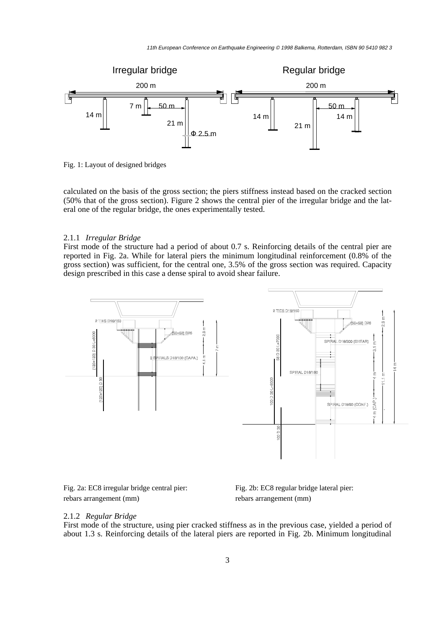

Fig. 1: Layout of designed bridges

calculated on the basis of the gross section; the piers stiffness instead based on the cracked section (50% that of the gross section). Figure 2 shows the central pier of the irregular bridge and the lateral one of the regular bridge, the ones experimentally tested.

#### 2.1.1 *Irregular Bridge*

First mode of the structure had a period of about 0.7 s. Reinforcing details of the central pier are reported in Fig. 2a. While for lateral piers the minimum longitudinal reinforcement (0.8% of the gross section) was sufficient, for the central one, 3.5% of the gross section was required. Capacity design prescribed in this case a dense spiral to avoid shear failure.



Fig. 2a: EC8 irregular bridge central pier: rebars arrangement (mm)

Fig. 2b: EC8 regular bridge lateral pier: rebars arrangement (mm)

#### 2.1.2 *Regular Bridge*

First mode of the structure, using pier cracked stiffness as in the previous case, yielded a period of about 1.3 s. Reinforcing details of the lateral piers are reported in Fig. 2b. Minimum longitudinal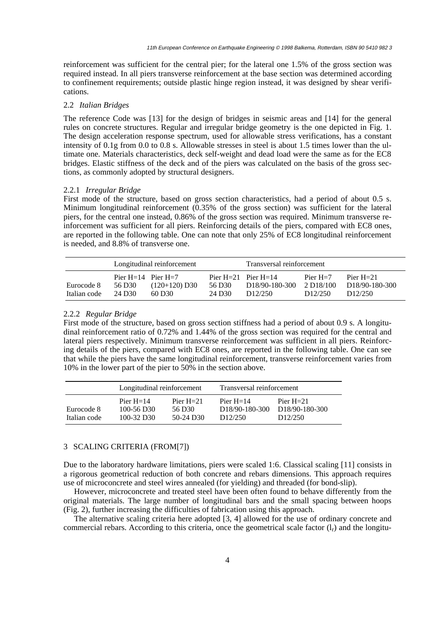reinforcement was sufficient for the central pier; for the lateral one 1.5% of the gross section was required instead. In all piers transverse reinforcement at the base section was determined according to confinement requirements; outside plastic hinge region instead, it was designed by shear verifications.

# 2.2 *Italian Bridges*

The reference Code was [13] for the design of bridges in seismic areas and [14] for the general rules on concrete structures. Regular and irregular bridge geometry is the one depicted in Fig. 1. The design acceleration response spectrum, used for allowable stress verifications, has a constant intensity of 0.1g from 0.0 to 0.8 s. Allowable stresses in steel is about 1.5 times lower than the ultimate one. Materials characteristics, deck self-weight and dead load were the same as for the EC8 bridges. Elastic stiffness of the deck and of the piers was calculated on the basis of the gross sections, as commonly adopted by structural designers.

#### 2.2.1 *Irregular Bridge*

First mode of the structure, based on gross section characteristics, had a period of about 0.5 s. Minimum longitudinal reinforcement (0.35% of the gross section) was sufficient for the lateral piers, for the central one instead, 0.86% of the gross section was required. Minimum transverse reinforcement was sufficient for all piers. Reinforcing details of the piers, compared with EC8 ones, are reported in the following table. One can note that only 25% of EC8 longitudinal reinforcement is needed, and 8.8% of transverse one.

|                            | Longitudinal reinforcement                 |                           |                              | Transversal reinforcement                                         |                                                 |                                                         |
|----------------------------|--------------------------------------------|---------------------------|------------------------------|-------------------------------------------------------------------|-------------------------------------------------|---------------------------------------------------------|
| Eurocode 8<br>Italian code | Pier $H=14$ Pier $H=7$<br>56 D30<br>24 D30 | $(120+120)$ D30<br>60 D30 | 56 D <sub>30</sub><br>24 D30 | Pier $H=21$ Pier $H=14$<br>D <sub>18</sub> /90-180-300<br>D12/250 | Pier $H=7$<br>2 D <sub>18</sub> /100<br>D12/250 | Pier $H = 21$<br>D <sub>18</sub> /90-180-300<br>D12/250 |

# 2.2.2 *Regular Bridge*

First mode of the structure, based on gross section stiffness had a period of about 0.9 s. A longitudinal reinforcement ratio of 0.72% and 1.44% of the gross section was required for the central and lateral piers respectively. Minimum transverse reinforcement was sufficient in all piers. Reinforcing details of the piers, compared with EC8 ones, are reported in the following table. One can see that while the piers have the same longitudinal reinforcement, transverse reinforcement varies from 10% in the lower part of the pier to 50% in the section above.

|                            | Longitudinal reinforcement                                |                                      | Transversal reinforcement                                           |                                                                      |  |
|----------------------------|-----------------------------------------------------------|--------------------------------------|---------------------------------------------------------------------|----------------------------------------------------------------------|--|
| Eurocode 8<br>Italian code | Pier $H = 14$<br>$100 - 56$ D <sub>30</sub><br>100-32 D30 | Pier $H = 21$<br>56 D30<br>50-24 D30 | Pier $H = 14$<br>D <sub>18</sub> /90-180-300<br>D <sub>12/250</sub> | Pier $H = 21$<br>D <sub>18</sub> /90-180-300<br>D <sub>12</sub> /250 |  |

# 3 SCALING CRITERIA (FROM[7])

Due to the laboratory hardware limitations, piers were scaled 1:6. Classical scaling [11] consists in a rigorous geometrical reduction of both concrete and rebars dimensions. This approach requires use of microconcrete and steel wires annealed (for yielding) and threaded (for bond-slip).

However, microconcrete and treated steel have been often found to behave differently from the original materials. The large number of longitudinal bars and the small spacing between hoops (Fig. 2), further increasing the difficulties of fabrication using this approach.

The alternative scaling criteria here adopted [3, 4] allowed for the use of ordinary concrete and commercial rebars. According to this criteria, once the geometrical scale factor  $(l_r)$  and the longitu-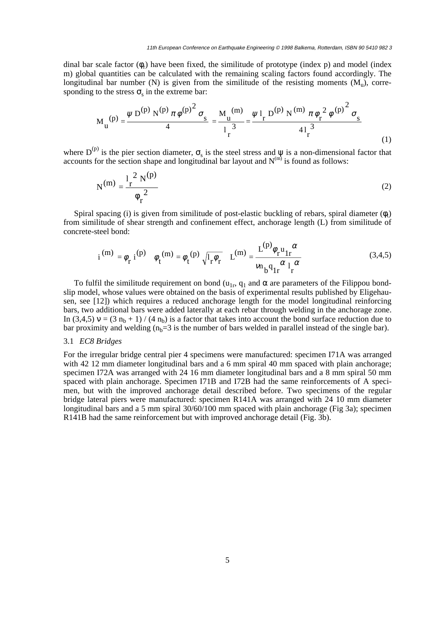dinal bar scale factor  $(\phi_r)$  have been fixed, the similitude of prototype (index p) and model (index m) global quantities can be calculated with the remaining scaling factors found accordingly. The longitudinal bar number (N) is given from the similitude of the resisting moments  $(M_u)$ , corresponding to the stress  $\sigma_s$  in the extreme bar:

$$
M_{u}^{(p)} = \frac{\psi D^{(p)} N^{(p)} \pi \phi^{(p)}^2 \sigma_s}{4} = \frac{M_{u}^{(m)}}{1 \frac{3}{r}^3} = \frac{\psi 1_{r} D^{(p)} N^{(m)} \pi \phi_{r}^2 \phi^{(p)}^2 \sigma_s}{41 \frac{3}{r}}
$$
(1)

where  $D^{(p)}$  is the pier section diameter,  $\sigma_s$  is the steel stress and  $\psi$  is a non-dimensional factor that accounts for the section shape and longitudinal bar layout and  $N^{(m)}$  is found as follows:

$$
N^{(m)} = \frac{l_r^2 N^{(p)}}{\phi_r^2}
$$
 (2)

Spiral spacing (i) is given from similitude of post-elastic buckling of rebars, spiral diameter  $(\phi_t)$ from similitude of shear strength and confinement effect, anchorage length (L) from similitude of concrete-steel bond:

$$
i^{(m)} = \phi_r i^{(p)} \phi_t^{(m)} = \phi_t^{(p)} \sqrt{l_r \phi_r} L^{(m)} = \frac{L^{(p)} \phi_r u_{1r}}{v_{h} q_{1r} \alpha l_r} \tag{3.4.5}
$$

To fulfil the similitude requirement on bond ( $u_{1r}$ ,  $q_1$  and  $\alpha$  are parameters of the Filippou bondslip model, whose values were obtained on the basis of experimental results published by Eligehausen, see [12]) which requires a reduced anchorage length for the model longitudinal reinforcing bars, two additional bars were added laterally at each rebar through welding in the anchorage zone. In (3,4,5)  $v = (3 n_b + 1) / (4 n_b)$  is a factor that takes into account the bond surface reduction due to bar proximity and welding  $(n_b=3$  is the number of bars welded in parallel instead of the single bar).

# 3.1 *EC8 Bridges*

For the irregular bridge central pier 4 specimens were manufactured: specimen I71A was arranged with 42 12 mm diameter longitudinal bars and a 6 mm spiral 40 mm spaced with plain anchorage; specimen I72A was arranged with 24 16 mm diameter longitudinal bars and a 8 mm spiral 50 mm spaced with plain anchorage. Specimen I71B and I72B had the same reinforcements of A specimen, but with the improved anchorage detail described before. Two specimens of the regular bridge lateral piers were manufactured: specimen R141A was arranged with 24 10 mm diameter longitudinal bars and a 5 mm spiral 30/60/100 mm spaced with plain anchorage (Fig 3a); specimen R141B had the same reinforcement but with improved anchorage detail (Fig. 3b).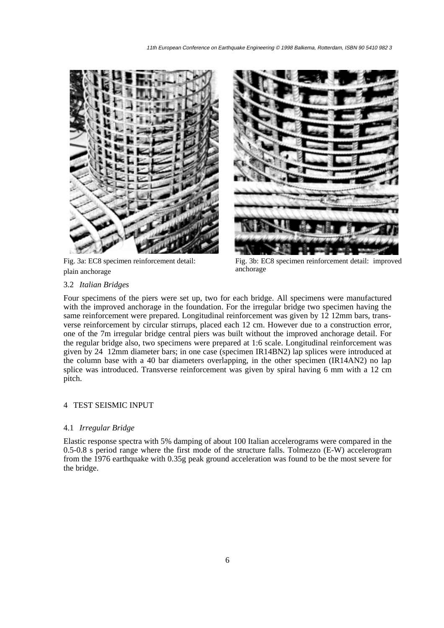

Fig. 3a: EC8 specimen reinforcement detail: plain anchorage



Fig. 3b: EC8 specimen reinforcement detail: improved anchorage

# 3.2 *Italian Bridges*

Four specimens of the piers were set up, two for each bridge. All specimens were manufactured with the improved anchorage in the foundation. For the irregular bridge two specimen having the same reinforcement were prepared. Longitudinal reinforcement was given by 12 12mm bars, transverse reinforcement by circular stirrups, placed each 12 cm. However due to a construction error, one of the 7m irregular bridge central piers was built without the improved anchorage detail. For the regular bridge also, two specimens were prepared at 1:6 scale. Longitudinal reinforcement was given by 24 12mm diameter bars; in one case (specimen IR14BN2) lap splices were introduced at the column base with a 40 bar diameters overlapping, in the other specimen (IR14AN2) no lap splice was introduced. Transverse reinforcement was given by spiral having 6 mm with a 12 cm pitch.

# 4 TEST SEISMIC INPUT

# 4.1 *Irregular Bridge*

Elastic response spectra with 5% damping of about 100 Italian accelerograms were compared in the 0.5-0.8 s period range where the first mode of the structure falls. Tolmezzo (E-W) accelerogram from the 1976 earthquake with 0.35g peak ground acceleration was found to be the most severe for the bridge.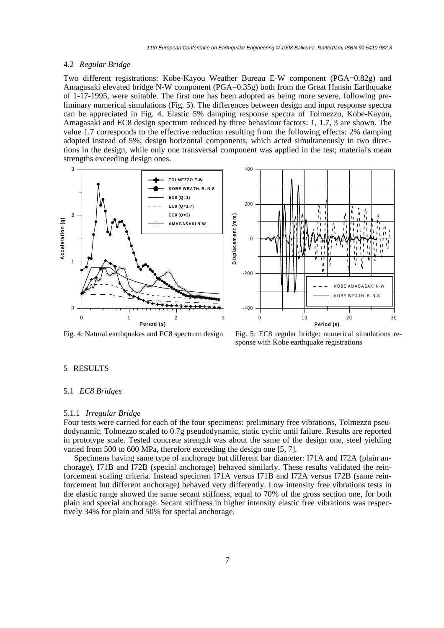#### 4.2 *Regular Bridge*

Two different registrations: Kobe-Kayou Weather Bureau E-W component (PGA=0.82g) and Amagasaki elevated bridge N-W component (PGA=0.35g) both from the Great Hansin Earthquake of 1-17-1995, were suitable. The first one has been adopted as being more severe, following preliminary numerical simulations (Fig. 5). The differences between design and input response spectra can be appreciated in Fig. 4. Elastic 5% damping response spectra of Tolmezzo, Kobe-Kayou, Amagasaki and EC8 design spectrum reduced by three behaviour factors: 1, 1.7, 3 are shown. The value 1.7 corresponds to the effective reduction resulting from the following effects: 2% damping adopted instead of 5%; design horizontal components, which acted simultaneously in two directions in the design, while only one transversal component was applied in the test; material's mean strengths exceeding design ones.





Fig. 4: Natural earthquakes and EC8 spectrum design Fig. 5: EC8 regular bridge: numerical simulations response with Kobe earthquake registrations

# 5 RESULTS

#### 5.1 *EC8 Bridges*

#### 5.1.1 *Irregular Bridge*

Four tests were carried for each of the four specimens: preliminary free vibrations, Tolmezzo pseudodynamic, Tolmezzo scaled to 0.7g pseudodynamic, static cyclic until failure. Results are reported in prototype scale. Tested concrete strength was about the same of the design one, steel yielding varied from 500 to 600 MPa, therefore exceeding the design one [5, 7].

Specimens having same type of anchorage but different bar diameter: I71A and I72A (plain anchorage), I71B and I72B (special anchorage) behaved similarly. These results validated the reinforcement scaling criteria. Instead specimen I71A versus I71B and I72A versus I72B (same reinforcement but different anchorage) behaved very differently. Low intensity free vibrations tests in the elastic range showed the same secant stiffness, equal to 70% of the gross section one, for both plain and special anchorage. Secant stiffness in higher intensity elastic free vibrations was respectively 34% for plain and 50% for special anchorage.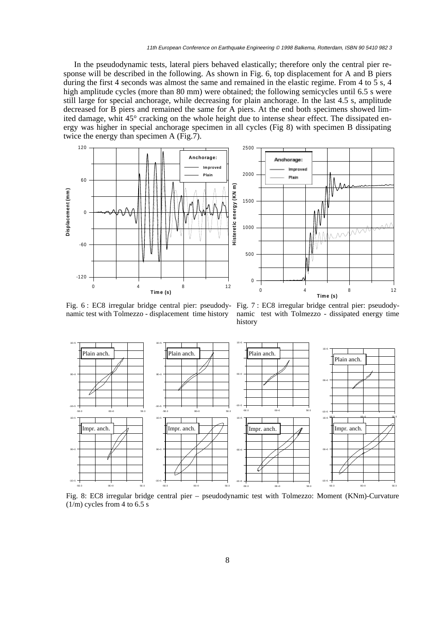In the pseudodynamic tests, lateral piers behaved elastically; therefore only the central pier response will be described in the following. As shown in Fig. 6, top displacement for A and B piers during the first 4 seconds was almost the same and remained in the elastic regime. From 4 to 5 s, 4 high amplitude cycles (more than 80 mm) were obtained; the following semicycles until 6.5 s were still large for special anchorage, while decreasing for plain anchorage. In the last 4.5 s, amplitude decreased for B piers and remained the same for A piers. At the end both specimens showed limited damage, whit 45° cracking on the whole height due to intense shear effect. The dissipated energy was higher in special anchorage specimen in all cycles (Fig 8) with specimen B dissipating twice the energy than specimen A (Fig.7).



Fig. 6 : EC8 irregular bridge central pier: pseudody-Fig. 7 : EC8 irregular bridge central pier: pseudodynamic test with Tolmezzo - displacement time history

namic test with Tolmezzo - dissipated energy time history



Fig. 8: EC8 irregular bridge central pier – pseudodynamic test with Tolmezzo: Moment (KNm)-Curvature  $(1/m)$  cycles from 4 to 6.5 s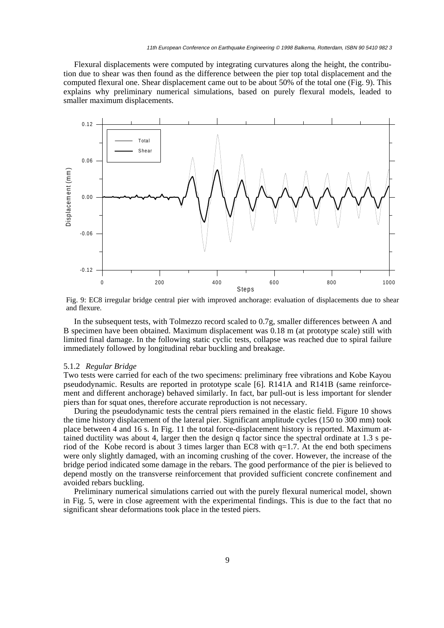Flexural displacements were computed by integrating curvatures along the height, the contribution due to shear was then found as the difference between the pier top total displacement and the computed flexural one. Shear displacement came out to be about 50% of the total one (Fig. 9). This explains why preliminary numerical simulations, based on purely flexural models, leaded to smaller maximum displacements.



Fig. 9: EC8 irregular bridge central pier with improved anchorage: evaluation of displacements due to shear and flexure.

In the subsequent tests, with Tolmezzo record scaled to 0.7g, smaller differences between A and B specimen have been obtained. Maximum displacement was 0.18 m (at prototype scale) still with limited final damage. In the following static cyclic tests, collapse was reached due to spiral failure immediately followed by longitudinal rebar buckling and breakage.

#### 5.1.2 *Regular Bridge*

Two tests were carried for each of the two specimens: preliminary free vibrations and Kobe Kayou pseudodynamic. Results are reported in prototype scale [6]. R141A and R141B (same reinforcement and different anchorage) behaved similarly. In fact, bar pull-out is less important for slender piers than for squat ones, therefore accurate reproduction is not necessary.

During the pseudodynamic tests the central piers remained in the elastic field. Figure 10 shows the time history displacement of the lateral pier. Significant amplitude cycles (150 to 300 mm) took place between 4 and 16 s. In Fig. 11 the total force-displacement history is reported. Maximum attained ductility was about 4, larger then the design q factor since the spectral ordinate at 1.3 s period of the Kobe record is about 3 times larger than EC8 with  $q=1.7$ . At the end both specimens were only slightly damaged, with an incoming crushing of the cover. However, the increase of the bridge period indicated some damage in the rebars. The good performance of the pier is believed to depend mostly on the transverse reinforcement that provided sufficient concrete confinement and avoided rebars buckling.

Preliminary numerical simulations carried out with the purely flexural numerical model, shown in Fig. 5, were in close agreement with the experimental findings. This is due to the fact that no significant shear deformations took place in the tested piers.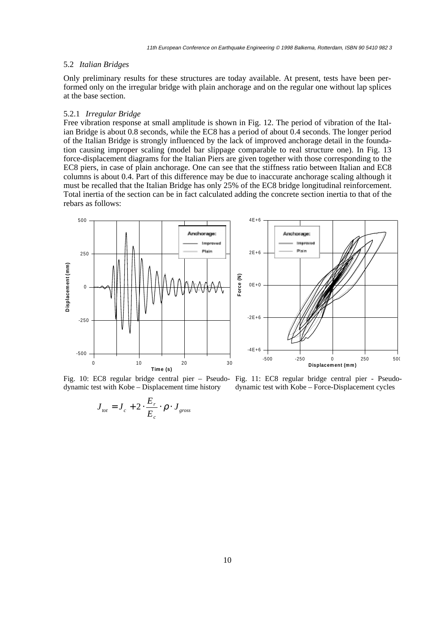# 5.2 *Italian Bridges*

Only preliminary results for these structures are today available. At present, tests have been performed only on the irregular bridge with plain anchorage and on the regular one without lap splices at the base section.

#### 5.2.1 *Irregular Bridge*

Free vibration response at small amplitude is shown in Fig. 12. The period of vibration of the Italian Bridge is about 0.8 seconds, while the EC8 has a period of about 0.4 seconds. The longer period of the Italian Bridge is strongly influenced by the lack of improved anchorage detail in the foundation causing improper scaling (model bar slippage comparable to real structure one). In Fig. 13 force-displacement diagrams for the Italian Piers are given together with those corresponding to the EC8 piers, in case of plain anchorage. One can see that the stiffness ratio between Italian and EC8 columns is about 0.4. Part of this difference may be due to inaccurate anchorage scaling although it must be recalled that the Italian Bridge has only 25% of the EC8 bridge longitudinal reinforcement. Total inertia of the section can be in fact calculated adding the concrete section inertia to that of the rebars as follows:



Fig. 10: EC8 regular bridge central pier – Pseudo-Fig. 11: EC8 regular bridge central pier - Pseudodynamic test with Kobe – Displacement time history

dynamic test with Kobe – Force-Displacement cycles

$$
J_{\text{tot}} = J_c + 2 \cdot \frac{E_r}{E_c} \cdot \rho \cdot J_{\text{gross}}
$$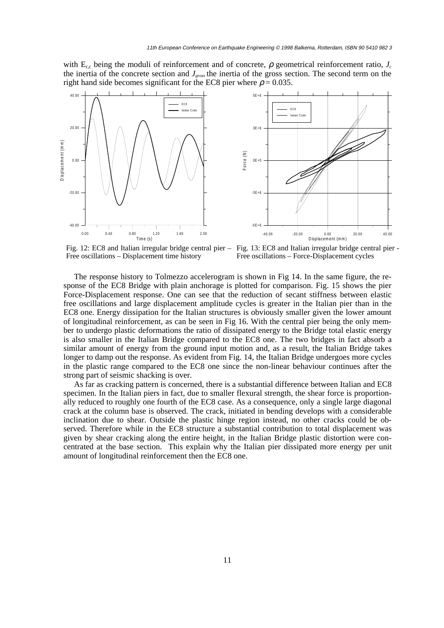with  $E_{r,c}$  being the moduli of reinforcement and of concrete,  $\rho$  geometrical reinforcement ratio,  $J_c$ the inertia of the concrete section and *Jgross* the inertia of the gross section. The second term on the right hand side becomes significant for the EC8 pier where  $\rho = 0.035$ .





Fig. 12: EC8 and Italian irregular bridge central pier – Fig. 13: EC8 and Italian irregular bridge central pier - Free oscillations – Displacement time history

Free oscillations – Force-Displacement cycles

The response history to Tolmezzo accelerogram is shown in Fig 14. In the same figure, the response of the EC8 Bridge with plain anchorage is plotted for comparison. Fig. 15 shows the pier Force-Displacement response. One can see that the reduction of secant stiffness between elastic free oscillations and large displacement amplitude cycles is greater in the Italian pier than in the EC8 one. Energy dissipation for the Italian structures is obviously smaller given the lower amount of longitudinal reinforcement, as can be seen in Fig 16. With the central pier being the only member to undergo plastic deformations the ratio of dissipated energy to the Bridge total elastic energy is also smaller in the Italian Bridge compared to the EC8 one. The two bridges in fact absorb a similar amount of energy from the ground input motion and, as a result, the Italian Bridge takes longer to damp out the response. As evident from Fig. 14, the Italian Bridge undergoes more cycles in the plastic range compared to the EC8 one since the non-linear behaviour continues after the strong part of seismic shacking is over.

As far as cracking pattern is concerned, there is a substantial difference between Italian and EC8 specimen. In the Italian piers in fact, due to smaller flexural strength, the shear force is proportionally reduced to roughly one fourth of the EC8 case. As a consequence, only a single large diagonal crack at the column base is observed. The crack, initiated in bending develops with a considerable inclination due to shear. Outside the plastic hinge region instead, no other cracks could be observed. Therefore while in the EC8 structure a substantial contribution to total displacement was given by shear cracking along the entire height, in the Italian Bridge plastic distortion were concentrated at the base section. This explain why the Italian pier dissipated more energy per unit amount of longitudinal reinforcement then the EC8 one.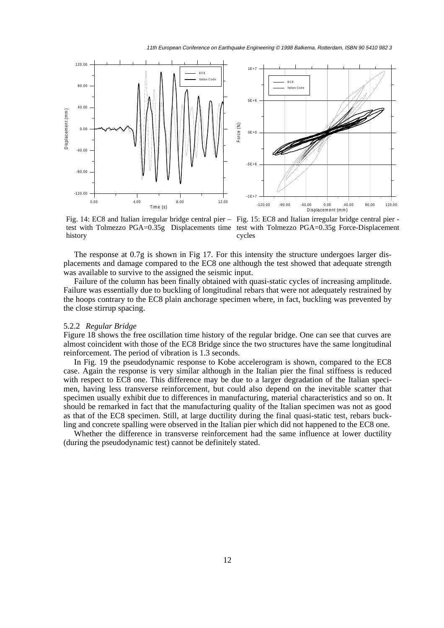



history

Fig. 14: EC8 and Italian irregular bridge central pier – Fig. 15: EC8 and Italian irregular bridge central pier test with Tolmezzo PGA=0.35g Displacements time test with Tolmezzo PGA=0.35g Force-Displacement cycles

The response at 0.7g is shown in Fig 17. For this intensity the structure undergoes larger displacements and damage compared to the EC8 one although the test showed that adequate strength was available to survive to the assigned the seismic input.

Failure of the column has been finally obtained with quasi-static cycles of increasing amplitude. Failure was essentially due to buckling of longitudinal rebars that were not adequately restrained by the hoops contrary to the EC8 plain anchorage specimen where, in fact, buckling was prevented by the close stirrup spacing.

#### 5.2.2 *Regular Bridge*

Figure 18 shows the free oscillation time history of the regular bridge. One can see that curves are almost coincident with those of the EC8 Bridge since the two structures have the same longitudinal reinforcement. The period of vibration is 1.3 seconds.

In Fig. 19 the pseudodynamic response to Kobe accelerogram is shown, compared to the EC8 case. Again the response is very similar although in the Italian pier the final stiffness is reduced with respect to EC8 one. This difference may be due to a larger degradation of the Italian specimen, having less transverse reinforcement, but could also depend on the inevitable scatter that specimen usually exhibit due to differences in manufacturing, material characteristics and so on. It should be remarked in fact that the manufacturing quality of the Italian specimen was not as good as that of the EC8 specimen. Still, at large ductility during the final quasi-static test, rebars buckling and concrete spalling were observed in the Italian pier which did not happened to the EC8 one.

Whether the difference in transverse reinforcement had the same influence at lower ductility (during the pseudodynamic test) cannot be definitely stated.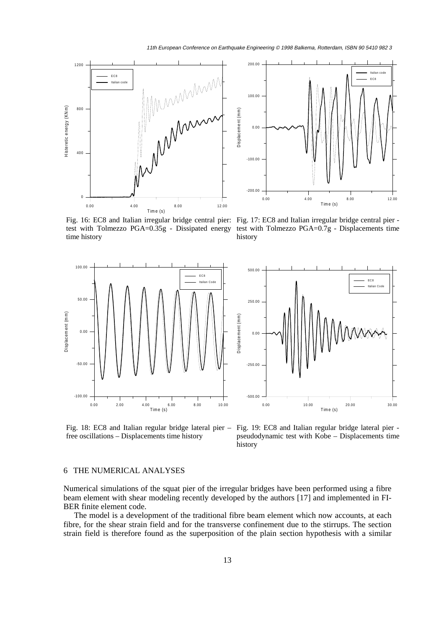11th European Conference on Earthquake Engineering © 1998 Balkema, Rotterdam, ISBN 90 5410 982 3





Fig. 16: EC8 and Italian irregular bridge central pier: Fig. 17: EC8 and Italian irregular bridge central pier test with Tolmezzo PGA=0.35g - Dissipated energy time history

test with Tolmezzo PGA=0.7g - Displacements time history





free oscillations – Displacements time history

Fig. 18: EC8 and Italian regular bridge lateral pier – Fig. 19: EC8 and Italian regular bridge lateral pier pseudodynamic test with Kobe – Displacements time history

# 6 THE NUMERICAL ANALYSES

Numerical simulations of the squat pier of the irregular bridges have been performed using a fibre beam element with shear modeling recently developed by the authors [17] and implemented in FI-BER finite element code.

The model is a development of the traditional fibre beam element which now accounts, at each fibre, for the shear strain field and for the transverse confinement due to the stirrups. The section strain field is therefore found as the superposition of the plain section hypothesis with a similar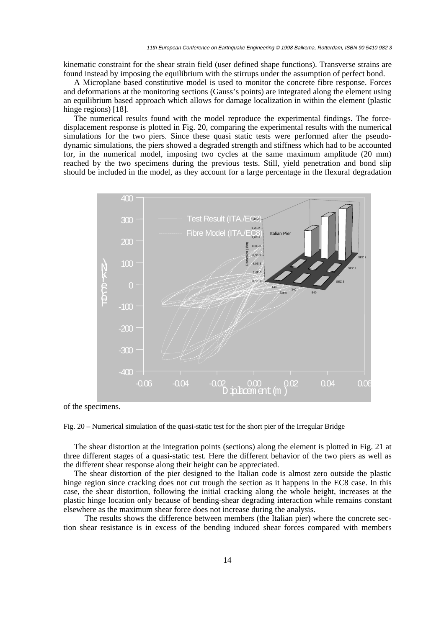kinematic constraint for the shear strain field (user defined shape functions). Transverse strains are found instead by imposing the equilibrium with the stirrups under the assumption of perfect bond.

A Microplane based constitutive model is used to monitor the concrete fibre response. Forces and deformations at the monitoring sections (Gauss's points) are integrated along the element using an equilibrium based approach which allows for damage localization in within the element (plastic hinge regions) [18].

The numerical results found with the model reproduce the experimental findings. The forcedisplacement response is plotted in Fig. 20, comparing the experimental results with the numerical simulations for the two piers. Since these quasi static tests were performed after the pseudodynamic simulations, the piers showed a degraded strength and stiffness which had to be accounted for, in the numerical model, imposing two cycles at the same maximum amplitude (20 mm) reached by the two specimens during the previous tests. Still, yield penetration and bond slip should be included in the model, as they account for a large percentage in the flexural degradation



of the specimens.

Fig. 20 – Numerical simulation of the quasi-static test for the short pier of the Irregular Bridge

The shear distortion at the integration points (sections) along the element is plotted in Fig. 21 at three different stages of a quasi-static test. Here the different behavior of the two piers as well as the different shear response along their height can be appreciated.

The shear distortion of the pier designed to the Italian code is almost zero outside the plastic hinge region since cracking does not cut trough the section as it happens in the EC8 case. In this case, the shear distortion, following the initial cracking along the whole height, increases at the plastic hinge location only because of bending-shear degrading interaction while remains constant elsewhere as the maximum shear force does not increase during the analysis.

The results shows the difference between members (the Italian pier) where the concrete section shear resistance is in excess of the bending induced shear forces compared with members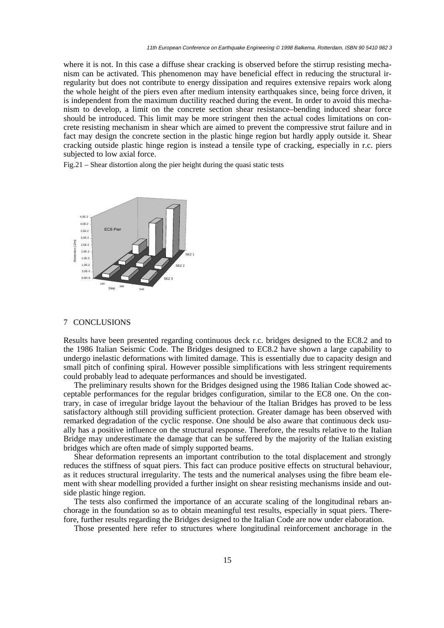where it is not. In this case a diffuse shear cracking is observed before the stirrup resisting mechanism can be activated. This phenomenon may have beneficial effect in reducing the structural irregularity but does not contribute to energy dissipation and requires extensive repairs work along the whole height of the piers even after medium intensity earthquakes since, being force driven, it is independent from the maximum ductility reached during the event. In order to avoid this mechanism to develop, a limit on the concrete section shear resistance–bending induced shear force should be introduced. This limit may be more stringent then the actual codes limitations on concrete resisting mechanism in shear which are aimed to prevent the compressive strut failure and in fact may design the concrete section in the plastic hinge region but hardly apply outside it. Shear cracking outside plastic hinge region is instead a tensile type of cracking, especially in r.c. piers subjected to low axial force.

Fig.21 – Shear distortion along the pier height during the quasi static tests



# 7 CONCLUSIONS

Results have been presented regarding continuous deck r.c. bridges designed to the EC8.2 and to the 1986 Italian Seismic Code. The Bridges designed to EC8.2 have shown a large capability to undergo inelastic deformations with limited damage. This is essentially due to capacity design and small pitch of confining spiral. However possible simplifications with less stringent requirements could probably lead to adequate performances and should be investigated.

The preliminary results shown for the Bridges designed using the 1986 Italian Code showed acceptable performances for the regular bridges configuration, similar to the EC8 one. On the contrary, in case of irregular bridge layout the behaviour of the Italian Bridges has proved to be less satisfactory although still providing sufficient protection. Greater damage has been observed with remarked degradation of the cyclic response. One should be also aware that continuous deck usually has a positive influence on the structural response. Therefore, the results relative to the Italian Bridge may underestimate the damage that can be suffered by the majority of the Italian existing bridges which are often made of simply supported beams.

Shear deformation represents an important contribution to the total displacement and strongly reduces the stiffness of squat piers. This fact can produce positive effects on structural behaviour, as it reduces structural irregularity. The tests and the numerical analyses using the fibre beam element with shear modelling provided a further insight on shear resisting mechanisms inside and outside plastic hinge region.

The tests also confirmed the importance of an accurate scaling of the longitudinal rebars anchorage in the foundation so as to obtain meaningful test results, especially in squat piers. Therefore, further results regarding the Bridges designed to the Italian Code are now under elaboration.

Those presented here refer to structures where longitudinal reinforcement anchorage in the